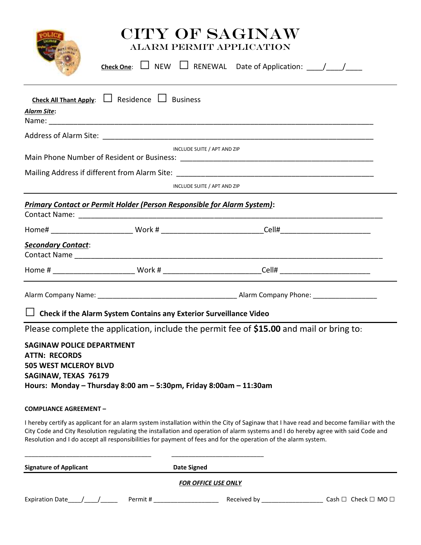

# CITY OF SAGINAW ALARM PERMIT APPLICATION

| POLICE                                                                                                    |                                                                                | Check One: $\Box$ NEW $\Box$ RENEWAL Date of Application: $\Box$                                                                                                                                                                                                                                                                                                                               |  |
|-----------------------------------------------------------------------------------------------------------|--------------------------------------------------------------------------------|------------------------------------------------------------------------------------------------------------------------------------------------------------------------------------------------------------------------------------------------------------------------------------------------------------------------------------------------------------------------------------------------|--|
| <b>Alarm Site:</b>                                                                                        | <b>Check All Thant Apply:</b> $\Box$ Residence $\Box$ Business                 |                                                                                                                                                                                                                                                                                                                                                                                                |  |
|                                                                                                           |                                                                                |                                                                                                                                                                                                                                                                                                                                                                                                |  |
|                                                                                                           |                                                                                | INCLUDE SUITE / APT AND ZIP                                                                                                                                                                                                                                                                                                                                                                    |  |
|                                                                                                           |                                                                                |                                                                                                                                                                                                                                                                                                                                                                                                |  |
|                                                                                                           |                                                                                | INCLUDE SUITE / APT AND ZIP                                                                                                                                                                                                                                                                                                                                                                    |  |
|                                                                                                           | <b>Primary Contact or Permit Holder (Person Responsible for Alarm System):</b> |                                                                                                                                                                                                                                                                                                                                                                                                |  |
|                                                                                                           |                                                                                |                                                                                                                                                                                                                                                                                                                                                                                                |  |
| <b>Secondary Contact:</b>                                                                                 |                                                                                |                                                                                                                                                                                                                                                                                                                                                                                                |  |
|                                                                                                           |                                                                                |                                                                                                                                                                                                                                                                                                                                                                                                |  |
|                                                                                                           | $\Box$ Check if the Alarm System Contains any Exterior Surveillance Video      |                                                                                                                                                                                                                                                                                                                                                                                                |  |
| <b>SAGINAW POLICE DEPARTMENT</b><br><b>ATTN: RECORDS</b><br>505 WEST MCLEROY BLVD<br>SAGINAW, TEXAS 76179 | Hours: Monday - Thursday 8:00 am $-$ 5:30pm, Friday 8:00am $-$ 11:30am         | Please complete the application, include the permit fee of \$15.00 and mail or bring to:                                                                                                                                                                                                                                                                                                       |  |
| <b>COMPLIANCE AGREEMENT -</b>                                                                             |                                                                                |                                                                                                                                                                                                                                                                                                                                                                                                |  |
|                                                                                                           |                                                                                | I hereby certify as applicant for an alarm system installation within the City of Saginaw that I have read and become familiar with the<br>City Code and City Resolution regulating the installation and operation of alarm systems and I do hereby agree with said Code and<br>Resolution and I do accept all responsibilities for payment of fees and for the operation of the alarm system. |  |
| <b>Signature of Applicant</b>                                                                             |                                                                                | <b>Date Signed</b>                                                                                                                                                                                                                                                                                                                                                                             |  |
|                                                                                                           |                                                                                | <b>FOR OFFICE USE ONLY</b>                                                                                                                                                                                                                                                                                                                                                                     |  |
|                                                                                                           |                                                                                |                                                                                                                                                                                                                                                                                                                                                                                                |  |